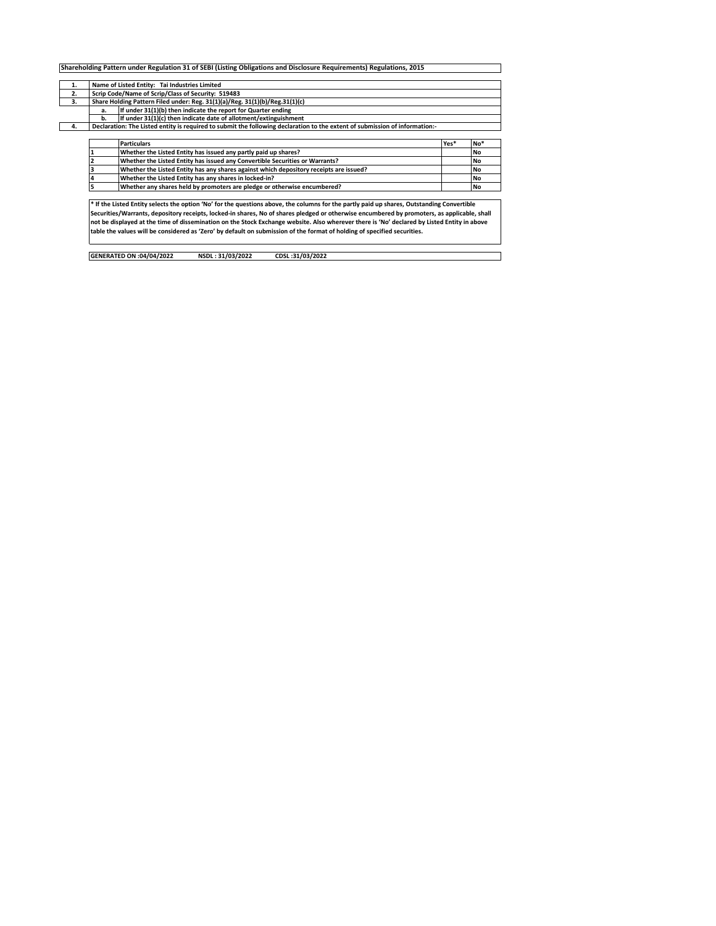| 1. | Name of Listed Entity: Tai Industries Limited                                                                               |      |           |  |  |  |  |  |  |  |  |  |
|----|-----------------------------------------------------------------------------------------------------------------------------|------|-----------|--|--|--|--|--|--|--|--|--|
| 2. | Scrip Code/Name of Scrip/Class of Security: 519483                                                                          |      |           |  |  |  |  |  |  |  |  |  |
| 3. | Share Holding Pattern Filed under: Reg. 31(1)(a)/Reg. 31(1)(b)/Reg.31(1)(c)                                                 |      |           |  |  |  |  |  |  |  |  |  |
|    | If under 31(1)(b) then indicate the report for Quarter ending<br>a.                                                         |      |           |  |  |  |  |  |  |  |  |  |
|    | If under 31(1)(c) then indicate date of allotment/extinguishment<br>b.                                                      |      |           |  |  |  |  |  |  |  |  |  |
| 4. | Declaration: The Listed entity is required to submit the following declaration to the extent of submission of information:- |      |           |  |  |  |  |  |  |  |  |  |
|    |                                                                                                                             |      |           |  |  |  |  |  |  |  |  |  |
|    | <b>Particulars</b>                                                                                                          | Yes* | No*       |  |  |  |  |  |  |  |  |  |
|    | Whether the Listed Entity has issued any partly paid up shares?                                                             |      | <b>No</b> |  |  |  |  |  |  |  |  |  |
|    | Whether the Listed Entity has issued any Convertible Securities or Warrants?                                                |      | <b>No</b> |  |  |  |  |  |  |  |  |  |
|    | Whether the Listed Entity has any shares against which depository receipts are issued?                                      |      | <b>No</b> |  |  |  |  |  |  |  |  |  |
|    | Whether the Listed Entity has any shares in locked-in?                                                                      |      | <b>No</b> |  |  |  |  |  |  |  |  |  |
|    | Whether any shares held by promoters are pledge or otherwise encumbered?                                                    |      | <b>No</b> |  |  |  |  |  |  |  |  |  |
|    |                                                                                                                             |      |           |  |  |  |  |  |  |  |  |  |

Securities/Warrants, depository receipts, locked-in shares, No of shares pledged or otherwise encumbered by promoters, as applicable, shall<br>not be displayed at the time of dissemination on the Stock Exchange website. Also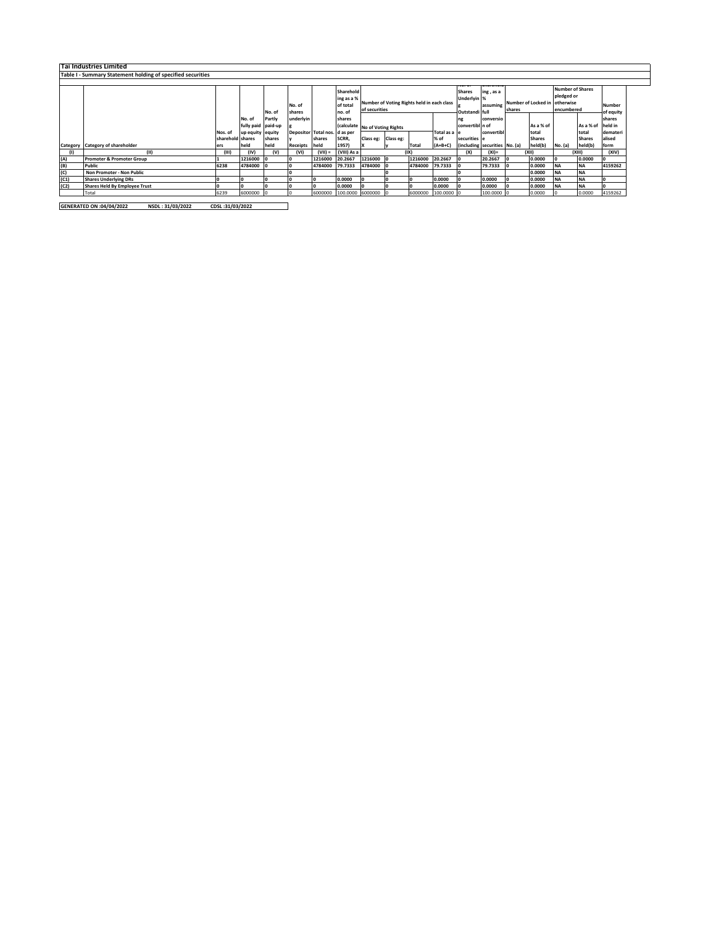|      | Tai Industries Limited                                      |                  |                    |        |                               |           |                  |                                            |  |         |              |                 |                               |        |               |                         |               |           |  |
|------|-------------------------------------------------------------|------------------|--------------------|--------|-------------------------------|-----------|------------------|--------------------------------------------|--|---------|--------------|-----------------|-------------------------------|--------|---------------|-------------------------|---------------|-----------|--|
|      | Table I - Summary Statement holding of specified securities |                  |                    |        |                               |           |                  |                                            |  |         |              |                 |                               |        |               |                         |               |           |  |
|      |                                                             |                  |                    |        |                               |           |                  |                                            |  |         |              |                 |                               |        |               |                         |               |           |  |
|      |                                                             |                  |                    |        |                               |           | Sharehold        |                                            |  |         |              | <b>Shares</b>   | ing, as a                     |        |               | <b>Number of Shares</b> |               |           |  |
|      |                                                             |                  |                    |        |                               |           | ing as a %       |                                            |  |         |              | Underlyin %     |                               |        |               | pledged or              |               |           |  |
|      |                                                             |                  |                    |        | No. of                        |           | of total         | Number of Voting Rights held in each class |  |         | assuming     |                 | <b>Number of Locked in</b>    |        | otherwise     |                         | Number        |           |  |
|      |                                                             |                  |                    | No. of | shares                        |           | no. of           | of securities                              |  |         |              | Outstandi full  |                               | shares |               |                         | encumbered    | of equity |  |
|      |                                                             |                  | No. of             | Partly | underlyin                     |           | shares           |                                            |  |         |              | ng              | conversio                     |        |               |                         |               | shares    |  |
|      |                                                             |                  | fully paid paid-up |        |                               |           |                  | (calculate No of Voting Rights             |  |         |              | convertibl n of |                               |        | As a % of     |                         | As a % of     | held in   |  |
|      |                                                             | Nos. of          | up equity equity   |        | Depositor Total nos. d as per |           |                  |                                            |  |         | Total as a e |                 | convertibl                    |        | total         |                         | total         | demateri  |  |
|      |                                                             | sharehold shares |                    | shares |                               | shares    | SCRR,            | Class eg: Class eg:                        |  |         | % of         | securities e    |                               |        | <b>Shares</b> |                         | <b>Shares</b> | alised    |  |
|      | Category Category of shareholder                            | ers              | held               | held   | Receipts held                 |           | 1957)            |                                            |  | Total   | $(A+B+C)$    |                 | (including securities No. (a) |        | held(b)       | No. (a)                 | held(b)       | form      |  |
|      | (11)                                                        | (III)            | (IV)               | (V)    | (VI)                          | $(VII) =$ | (VIII) As a      |                                            |  | (IX)    |              | (X)             | $(XI) =$                      |        | (XII)         |                         | (XIII)        | (XIV)     |  |
| (A)  | <b>Promoter &amp; Promoter Group</b>                        |                  | 1216000            |        |                               | 1216000   | 20.2667          | 1216000 0                                  |  | 1216000 | 20.2667      |                 | 20.2667                       |        | 0.0000        |                         | 0.0000        |           |  |
| (B)  | Public                                                      | 6238             | 4784000            |        |                               | 4784000   | 79.7333          | 4784000                                    |  | 4784000 | 79.7333      |                 | 79.7333                       |        | 0.0000        | <b>NA</b>               | <b>NA</b>     | 4159262   |  |
| (C)  | Non Promoter - Non Public                                   |                  |                    |        |                               |           |                  |                                            |  |         |              |                 |                               |        | 0.0000        | <b>NA</b>               | <b>NA</b>     |           |  |
| (C1) | <b>Shares Underlying DRs</b>                                |                  |                    |        |                               |           | 0.0000           |                                            |  |         | 0.0000       |                 | 0.0000                        |        | 0.0000        | <b>NA</b>               | <b>NA</b>     |           |  |
| (C2) | Shares Held By Employee Trust                               |                  |                    |        |                               |           | 0.0000           |                                            |  |         | 0.0000       |                 | 0.0000                        |        | 0.0000        | <b>NA</b>               | <b>NA</b>     |           |  |
|      | Total                                                       | 6239             | 6000000            |        |                               | 6000000   | 100.0000 6000000 |                                            |  | 6000000 | 100.0000     |                 | 100.0000 0                    |        | 0.0000        |                         | 0.0000        | 4159262   |  |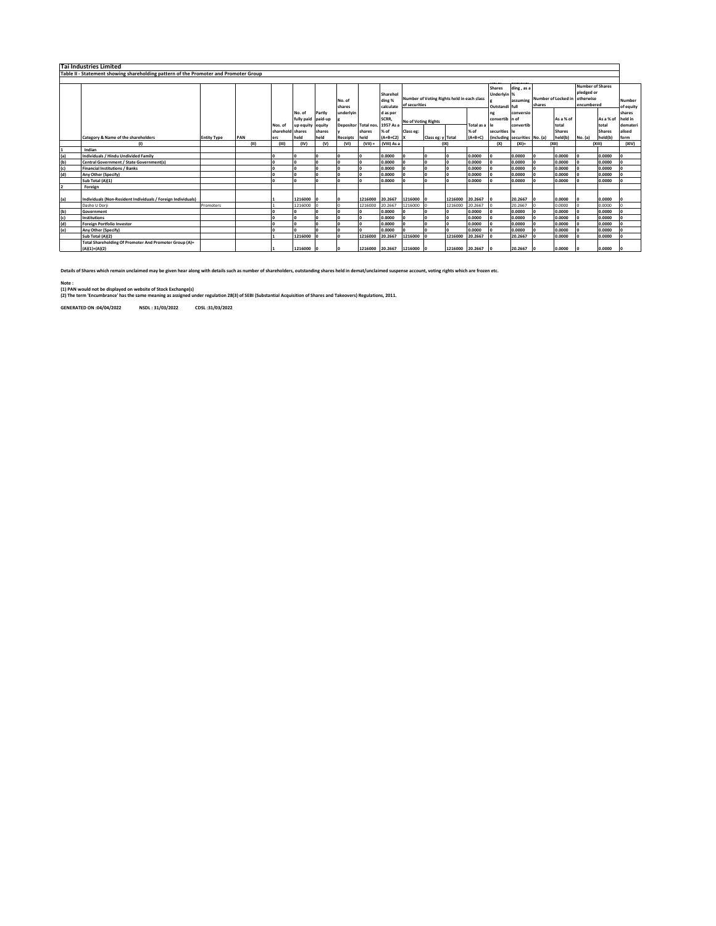|     | <b>Tai Industries Limited</b>                                                        |                    |      |                  |                                        |        |                      |                 |                                 |                                                             |                   |                 |           |                                                |                               |                                        |                    |                                                                  |               |                            |
|-----|--------------------------------------------------------------------------------------|--------------------|------|------------------|----------------------------------------|--------|----------------------|-----------------|---------------------------------|-------------------------------------------------------------|-------------------|-----------------|-----------|------------------------------------------------|-------------------------------|----------------------------------------|--------------------|------------------------------------------------------------------|---------------|----------------------------|
|     | Table II - Statement showing shareholding pattern of the Promoter and Promoter Group |                    |      |                  |                                        |        |                      |                 |                                 |                                                             |                   |                 |           |                                                |                               |                                        |                    |                                                                  |               |                            |
|     |                                                                                      |                    |      |                  |                                        |        |                      |                 |                                 |                                                             |                   |                 |           |                                                |                               |                                        |                    |                                                                  |               |                            |
|     |                                                                                      |                    |      |                  |                                        |        | No. of<br>shares     |                 | Sharehol<br>ding %<br>calculate | Number of Voting Rights held in each class<br>of securities |                   |                 |           | <b>Shares</b><br>Underlyin %<br>Outstandi full | ding, as a                    | assuming Number of Locked in<br>shares |                    | <b>Number of Shares</b><br>pledged or<br>otherwise<br>encumbered |               | <b>Number</b><br>of equity |
|     |                                                                                      |                    |      |                  | No. of                                 | Partiv | underlyin            |                 | d as per                        |                                                             |                   |                 |           | convertib n of                                 | conversio                     |                                        |                    |                                                                  |               | shares<br>held in          |
|     |                                                                                      |                    |      | Nos. of          | fully paid paid-up<br>up equity equity |        | Depositor Total nos. |                 | SCRR,<br>1957 As a              | No of Voting Rights<br>Total as a                           |                   |                 | convertib |                                                | As a % of<br>total            |                                        | As a % of<br>total | demateri                                                         |               |                            |
|     |                                                                                      |                    |      | sharehold shares |                                        | shares |                      | shares          | % of                            | Class eg:                                                   |                   |                 | % of      | securities                                     | l۴                            |                                        | <b>Shares</b>      |                                                                  | <b>Shares</b> | alised                     |
|     | Category & Name of the shareholders                                                  | <b>Entity Type</b> | PAN  | ers              | held                                   | held   | <b>Receipts</b>      | held            | $(A+B+C2)$                      |                                                             | Class eg: y Total |                 | $(A+B+C)$ |                                                | (including securities No. (a) |                                        | held(b)            | No. (a)                                                          | held(b)       | form                       |
|     | $\mathbf{u}$                                                                         |                    | (11) | (III)            | (IV)                                   | (V)    | (VI)                 | $(VII) =$       | (VIII) As a                     |                                                             |                   | (IX)            |           | (X)                                            | $(XI)$ =                      |                                        | (X  )              |                                                                  | (XIII)        | (XIV)                      |
|     | Indian                                                                               |                    |      |                  |                                        |        |                      |                 |                                 |                                                             |                   |                 |           |                                                |                               |                                        |                    |                                                                  |               |                            |
| (a) | Individuals / Hindu Undivided Family                                                 |                    |      |                  |                                        |        |                      |                 | 0.0000                          |                                                             |                   |                 | 0.0000    |                                                | 0.0000                        |                                        | 0.0000             |                                                                  | 0.0000        |                            |
| (b) | Central Government / State Government(s)                                             |                    |      |                  |                                        |        |                      |                 | 0.0000                          |                                                             |                   |                 | 0.0000    |                                                | 0.0000                        |                                        | 0.0000             |                                                                  | 0.0000        |                            |
| (c) | <b>Financial Institutions / Banks</b>                                                |                    |      |                  |                                        |        |                      |                 | 0.0000                          |                                                             |                   |                 | 0.0000    |                                                | 0.0000                        |                                        | 0.0000             |                                                                  | 0.0000        |                            |
| (d) | Any Other (Specify)                                                                  |                    |      |                  |                                        |        |                      |                 | 0.0000                          |                                                             |                   |                 | 0.0000    |                                                | 0.0000                        |                                        | 0.0000             |                                                                  | 0.0000        |                            |
|     | Sub Total (A)(1)                                                                     |                    |      |                  |                                        |        |                      |                 | 0.0000                          |                                                             |                   |                 | 0.0000    |                                                | 0.0000                        |                                        | 0.0000             |                                                                  | 0.0000        |                            |
|     | Foreign                                                                              |                    |      |                  |                                        |        |                      |                 |                                 |                                                             |                   |                 |           |                                                |                               |                                        |                    |                                                                  |               |                            |
| (a) | Individuals (Non-Resident Individuals / Foreign Individuals)                         |                    |      |                  | 1216000                                |        |                      | 1216000         | 20.2667                         | 1216000                                                     |                   | 1216000         | 20,2667   |                                                | 20.2667                       |                                        | 0.0000             |                                                                  | 0.0000        |                            |
|     | Dasho U Dorii                                                                        | Promoters          |      |                  | 1216000                                |        |                      | 1216000         | 20.2667                         | 1216000                                                     |                   | 1216000         | 20.2667   |                                                | 20.2667                       |                                        | 0.0000             |                                                                  | 0.0000        |                            |
| (b) | Government                                                                           |                    |      |                  |                                        |        |                      |                 | 0.0000                          |                                                             |                   |                 | 0.0000    |                                                | 0.0000                        |                                        | 0.0000             |                                                                  | 0.0000        |                            |
| (c) | Institutions                                                                         |                    |      |                  |                                        |        |                      |                 | 0.0000                          |                                                             |                   |                 | 0.0000    |                                                | 0.0000                        |                                        | 0.0000             |                                                                  | 0.0000        |                            |
| (d) | <b>Foreign Portfolio Investor</b>                                                    |                    |      |                  |                                        |        |                      |                 | 0.0000                          |                                                             |                   |                 | 0.0000    |                                                | 0.0000                        |                                        | 0.0000             |                                                                  | 0.0000        |                            |
| (e) | Any Other (Specify)                                                                  |                    |      |                  |                                        |        |                      |                 | 0.0000                          |                                                             |                   |                 | 0.0000    |                                                | 0.0000                        |                                        | 0.0000             |                                                                  | 0.0000        |                            |
|     | Sub Total (A)(2)                                                                     |                    |      |                  | 1216000                                |        |                      | 1216000         | 20.2667                         | 1216000                                                     |                   | 1216000         | 20.2667   |                                                | 20.2667                       |                                        | 0.0000             |                                                                  | 0.0000        |                            |
|     | Total Shareholding Of Promoter And Promoter Group (A)=<br>$(A)(1)+(A)(2)$            |                    |      |                  | 1216000                                |        |                      | 1216000 20.2667 |                                 | 1216000 0                                                   |                   | 1216000 20.2667 |           | I٥                                             | 20.2667                       |                                        | 0.0000             |                                                                  | 0.0000        |                            |

**Details of Shares which remain unclaimed may be given hear along with details such as number of shareholders, outstanding shares held in demat/unclaimed suspense account, voting rights which are frozen etc.**

Note :<br>(1) PAN would not be displayed on website of Stock Exchange(s)<br>(2) The term 'Encumbrance' has the same meaning as assigned under regulation 28(3) of SEBI (Substantial Acquisition of Shares and Takeovers) Regulations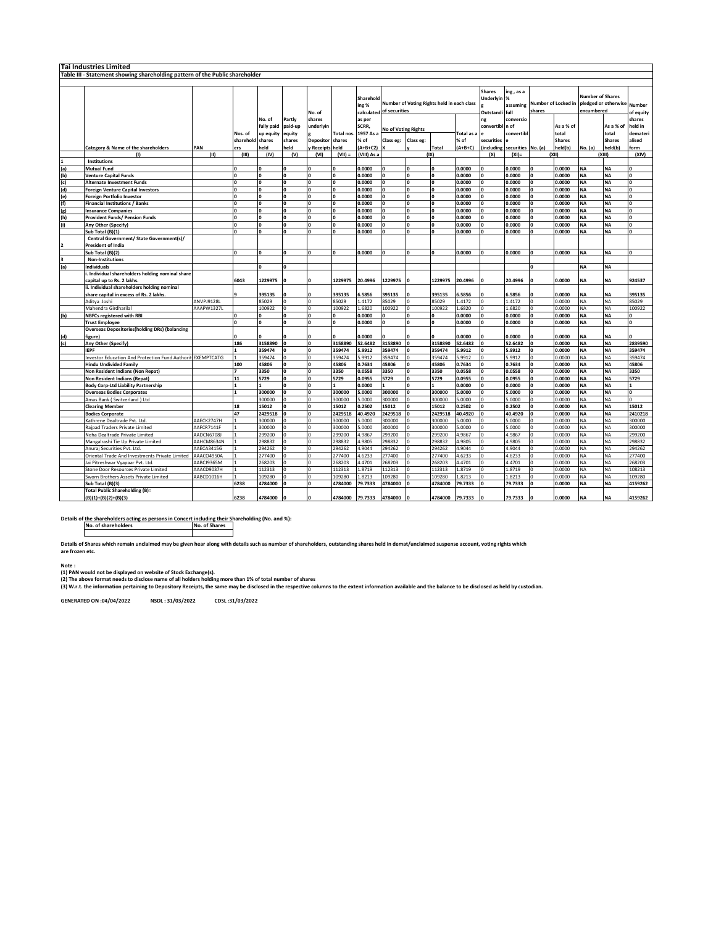| <b>Tai Industries Limited</b> |                                                                              |            |                  |              |          |              |                |             |                            |                                            |              |            |                  |            |                |               |                         |                                          |                    |
|-------------------------------|------------------------------------------------------------------------------|------------|------------------|--------------|----------|--------------|----------------|-------------|----------------------------|--------------------------------------------|--------------|------------|------------------|------------|----------------|---------------|-------------------------|------------------------------------------|--------------------|
|                               | Table III - Statement showing shareholding pattern of the Public shareholder |            |                  |              |          |              |                |             |                            |                                            |              |            |                  |            |                |               |                         |                                          |                    |
|                               |                                                                              |            |                  |              |          |              |                |             |                            |                                            |              |            |                  |            |                |               |                         |                                          |                    |
|                               |                                                                              |            |                  |              |          |              |                |             |                            |                                            |              |            |                  |            |                |               |                         |                                          |                    |
|                               |                                                                              |            |                  |              |          |              |                |             |                            |                                            |              |            | <b>Shares</b>    | ing , as a |                |               | <b>Number of Shares</b> |                                          |                    |
|                               |                                                                              |            |                  |              |          |              |                | Sharehold   |                            | Number of Voting Rights held in each class |              |            | <b>Underlyin</b> | %          |                |               |                         | Number of Locked in pledged or otherwise |                    |
|                               |                                                                              |            |                  |              |          |              |                | ing %       |                            |                                            |              |            |                  | assuming   |                |               |                         |                                          | Number             |
|                               |                                                                              |            |                  |              |          | No. of       |                | calculated  | of securities              |                                            |              |            | Outstandi        | full       | shares         |               | encumbered              |                                          | of equity          |
|                               |                                                                              |            |                  | No. of       | Partly   | shares       |                | as per      |                            |                                            |              |            | ng               | conversio  |                |               |                         |                                          | shares             |
|                               |                                                                              |            |                  | fully paid   | paid-up  | underlyin    |                | SCRR,       |                            |                                            |              |            | convertibl       | n of       |                | As a % of     |                         | As a % of                                | held in            |
|                               |                                                                              |            | Nos. of          | up equity    | equity   |              | Total nos.     | 1957 As a   | <b>No of Voting Rights</b> |                                            |              | Total as a |                  | convertibl |                | total         |                         | total                                    | demater            |
|                               |                                                                              |            | sharehold shares |              |          |              | shares         | % of        |                            |                                            |              | % of       |                  |            |                | <b>Shares</b> |                         | <b>Shares</b>                            |                    |
|                               |                                                                              |            |                  |              | shares   | Depositor    |                |             | Class eg:                  | Class eg:                                  |              |            | securities       |            |                |               |                         |                                          | alised             |
|                               | Category & Name of the shareholders                                          | PAN        | ers              | held         | eld      | Receipts     | held           | $(A+B+C2)$  |                            |                                            | <b>Total</b> | $(A+B+C)$  | including        | securities | No. (a)        | held(b)       | No. (a)                 | held(b)                                  | form               |
|                               | (1)                                                                          | (II)       | (III)            | (IV)         | (V)      | (VI)         | $(VII) =$      | (VIII) As a |                            |                                            | (IX)         |            | (X)              | $(XI) =$   |                | (X  )         |                         | (XIII)                                   | (XIV)              |
|                               | Institutions                                                                 |            |                  |              |          |              |                |             |                            |                                            |              |            |                  |            |                |               |                         |                                          |                    |
| (a)                           | <b>Mutual Fund</b>                                                           |            | O                | $\Omega$     | O        | $\Omega$     | ١o             | 0.0000      | $\Omega$                   | O                                          | ١o           | 0.0000     | $\Omega$         | 0.0000     | $\mathbf{0}$   | 0.0000        | <b>NA</b>               | <b>NA</b>                                | $\mathbf{0}$       |
| (b)                           | <b>Venture Capital Funds</b>                                                 |            | O                | $\Omega$     | O        | $\Omega$     | o              | 0.0000      | $\Omega$                   | 0                                          | ١o           | 0.0000     | 0                | 0.0000     | $\mathbf{0}$   | 0.0000        | <b>NA</b>               | NA                                       | $\mathbf 0$        |
| (c)                           | Alternate Investment Funds                                                   |            | n                | $\mathbf{r}$ | n        | $\mathbf{0}$ | lo             | 0.0000      | $\mathbf{0}$               | n                                          | lո           | 0.0000     | $\mathbf{o}$     | 0.0000     | $\overline{0}$ | 0.0000        | <b>NA</b>               | NA                                       | $\pmb{\mathsf{o}}$ |
| (d)                           | Foreign Venture Capital Investors                                            |            | ń                | $\mathbf{r}$ | Ó        | $\mathbf{0}$ | ۱o             | 0.0000      | <b>n</b>                   | n                                          | lo           | 0.0000     | <b>n</b>         | 0.0000     | ١o             | 0.0000        | <b>NA</b>               | <b>NA</b>                                | $\mathbf 0$        |
| (e)                           | Foreign Portfolio Investor                                                   |            | O                | $\Omega$     | <b>O</b> | $\mathbf{0}$ | ۱o             | 0.0000      | $\Omega$                   | $\mathbf{0}$                               | ١o           | 0.0000     | $\Omega$         | 0.0000     | $\mathbf{0}$   | 0.0000        | <b>NA</b>               | <b>NA</b>                                | $\mathbf{0}$       |
| (f)                           |                                                                              |            | O                | $\Omega$     | $\Omega$ | $\Omega$     | ۱o             |             | <b>n</b>                   |                                            | l٥           |            |                  | 0.0000     | $\Omega$       |               | <b>NA</b>               |                                          |                    |
|                               | Financial Institutions / Banks                                               |            |                  |              |          |              |                | 0.0000      |                            |                                            |              | 0.0000     |                  |            |                | 0.0000        |                         | <b>NA</b>                                | $\mathbf 0$        |
| (g)                           | <b>Insurance Companies</b>                                                   |            | n                | $\Omega$     | O        | 0            | o              | 0.0000      | $\Omega$                   | O                                          | ١o           | 0.0000     | $\Omega$         | 0.0000     | $\mathbf{0}$   | 0.0000        | <b>NA</b>               | NA                                       | $\mathbf 0$        |
| (h)                           | Provident Funds/ Pension Funds                                               |            | n                | $\Omega$     | Ó        | $\mathbf{0}$ | o              | 0.0000      | $\Omega$                   | n                                          | lo           | 0.0000     | $\Omega$         | 0.0000     | $\mathbf{0}$   | 0.0000        | <b>NA</b>               | NA                                       | $\mathbf 0$        |
| (i)                           | Any Other (Specify)                                                          |            | n                | $\mathbf{r}$ | Ó        | $\mathbf{0}$ | ١o             | 0.0000      | n                          | o                                          | ١o           | 0.0000     | $\Omega$         | 0.0000     | $\Omega$       | 0.0000        | <b>NA</b>               | <b>NA</b>                                | $\mathbf 0$        |
|                               | Sub Total (B)(1)                                                             |            | O                | $\Omega$     | O        | $\mathbf{0}$ | o              | 0.0000      | $\Omega$                   | o                                          | lo           | 0.0000     | $\Omega$         | 0.0000     | $\mathbf{0}$   | 0.0000        | <b>NA</b>               | ΝA                                       | $\mathbf 0$        |
|                               | Central Government/ State Government(s)/                                     |            |                  |              |          |              |                |             |                            |                                            |              |            |                  |            |                |               |                         |                                          |                    |
|                               | President of India                                                           |            |                  |              |          |              |                |             |                            |                                            |              |            |                  |            |                |               |                         |                                          |                    |
|                               | Sub Total (B)(2)                                                             |            |                  | $\Omega$     | ń        | $\mathbf{a}$ | ١o             | 0.0000      | lo                         |                                            | lo           | 0.0000     |                  | 0.0000     | <b>n</b>       | 0.0000        | <b>NA</b>               | <b>NA</b>                                | $\Omega$           |
| $\overline{\mathbf{3}}$       |                                                                              |            |                  |              |          |              |                |             |                            |                                            |              |            |                  |            |                |               |                         |                                          |                    |
|                               | <b>Non-Institutions</b>                                                      |            |                  |              |          |              |                |             |                            |                                            |              |            |                  |            |                |               |                         |                                          |                    |
| (a)                           | <b>Individuals</b>                                                           |            |                  | $\Omega$     | Ó        |              |                |             |                            |                                            |              |            |                  |            | $\Omega$       |               | <b>NA</b>               | ΝA                                       |                    |
|                               | . Individual shareholders holding nominal share                              |            |                  |              |          |              |                |             |                            |                                            |              |            |                  |            |                |               |                         |                                          |                    |
|                               | apital up to Rs. 2 lakhs.                                                    |            | 6043             | 1229975      |          |              | 1229975        | 20.4996     | 1229975                    |                                            | 1229975      | 20.4996    |                  | 20.4996    |                | 0.0000        | <b>NA</b>               | <b>NA</b>                                | 924537             |
|                               | ii. Individual shareholders holding nominal                                  |            |                  |              |          |              |                |             |                            |                                            |              |            |                  |            |                |               |                         |                                          |                    |
|                               | share capital in excess of Rs. 2 lakhs.                                      |            |                  | 395135       |          |              | 395135         | 6.5856      | 395135                     |                                            | 395135       | 5.5856     |                  | 5.5856     |                | 0.0000        | <b>NA</b>               | NA                                       | 395135             |
|                               | Aditya Joshi                                                                 | ANVPJ9128L |                  | 85029        |          | $\Omega$     | 85029          | 1.4172      | 85029                      |                                            | 85029        | 1.4172     | $\Omega$         | 1.4172     | $\Omega$       | 0.0000        | <b>NA</b>               | NA                                       | 85029              |
|                               | Mahendra Girdharilal                                                         | AAAPW1327L |                  | 100922       | 0        | $\Omega$     | 100922         | 1.6820      | 100922                     | $\Omega$                                   | 100922       | 1.6820     | $\mathbf 0$      | 1.6820     | O              | 0.0000        | <b>NA</b>               | NΑ                                       | 100922             |
| (b)                           | <b>NBFCs registered with RBI</b>                                             |            | O                |              | O        | $\Omega$     | ١o             | 0.0000      |                            |                                            |              | 0.0000     | $\Omega$         | 0.0000     | $\Omega$       | 0.0000        | <b>NA</b>               | <b>NA</b>                                | $\Omega$           |
|                               |                                                                              |            | O                | $\Omega$     | Ó        |              |                |             |                            |                                            |              |            |                  |            | $\mathbf{0}$   |               |                         |                                          |                    |
|                               | <b>Trust Employee</b>                                                        |            |                  |              |          | $\mathbf 0$  | o              | 0.0000      | $\mathbf 0$                | 0                                          | I٥           | 0.0000     | 0                | 0.0000     |                | 0.0000        | <b>NA</b>               | ΝA                                       | $\mathbf{0}$       |
|                               | <b>Overseas Depositories(holding DRs) (balancing</b>                         |            |                  |              |          |              |                |             |                            |                                            |              |            |                  |            |                |               |                         |                                          |                    |
| (d)                           | igure)                                                                       |            |                  |              |          |              | $\Omega$       | 0.0000      |                            |                                            | n            | 0.0000     | $\Omega$         | 0.0000     |                | 0.0000        | <b>NA</b>               | <b>NA</b>                                | $\mathbf{r}$       |
| (c)                           | Any Other (Specify)                                                          |            | 186              | 3158890      | O        | 0            | 3158890        | 52.6482     | 3158890                    |                                            | 3158890      | 52.6482    | $\Omega$         | 52.6482    | $\mathbf{0}$   | 0.0000        | <b>NA</b>               | NA                                       | 2839590            |
|                               | <b>IEPF</b>                                                                  |            |                  | 359474       |          | $\Omega$     | 359474         | 5.9912      | 359474                     |                                            | 359474       | 5.9912     | $\Omega$         | 5.9912     | $\mathbf{0}$   | 0.0000        | <b>NA</b>               | NA                                       | 359474             |
|                               | <b>Investor Education And Protection Fund Authorit EXEMPTCATG</b>            |            |                  | 359474       | Ō        | $\mathbf 0$  | 359474         | 5.9912      | 359474                     | n                                          | 359474       | 5.9912     | $\mathsf{o}\,$   | 5.9912     | $\overline{0}$ | 0.0000        | <b>NA</b>               | ΝA                                       | 359474             |
|                               | <b>Hindu Undivided Family</b>                                                |            | 100              | 45806        | O        | O            | 45806          | 0.7634      | 45806                      | O                                          | 45806        | 0.7634     | $\mathbf 0$      | 0.7634     | ١o             | 0.0000        | <b>NA</b>               | <b>NA</b>                                | 45806              |
|                               | Non Resident Indians (Non Repat)                                             |            |                  | 3350         | Ó        | $\mathbf{0}$ | 3350           | 0.0558      | 3350                       | $\Omega$                                   | 3350         | 0.0558     | $\Omega$         | 0.0558     | $\mathbf{0}$   | 0.0000        | <b>NA</b>               | <b>NA</b>                                | 3350               |
|                               |                                                                              |            | 11               | 5729         | O        | $\mathbf 0$  | 5729           | 0.0955      | 5729                       |                                            | 5729         | 0.0955     | $\mathbf{0}$     | 0.0955     | $\mathbf{0}$   | 0.0000        | <b>NA</b>               | NA                                       | 5729               |
|                               | Non Resident Indians (Repat)                                                 |            |                  |              | n        | $\mathbf{0}$ | $\overline{1}$ |             |                            | 0                                          | I1           | 0.0000     |                  |            | $\mathbf{0}$   |               |                         |                                          | $\mathbf{1}$       |
|                               | <b>Body Corp-Ltd Liability Partnership</b>                                   |            |                  |              |          |              |                | 0.0000      |                            |                                            |              |            | $\Omega$         | 0.0000     |                | 0.0000        | <b>NA</b>               | <b>NA</b>                                |                    |
|                               | <b>Overseas Bodies Corporates</b>                                            |            |                  | 300000       | Ó        | $\mathbf{o}$ | 300000         | 5.0000      | 300000                     | O                                          | 300000       | 5.0000     | $\Omega$         | 5.0000     | ١o             | 0.0000        | <b>NA</b>               | <b>NA</b>                                | $\mathbf{0}$       |
|                               | Amas Bank (Switzerland) Ltd                                                  |            |                  | 300000       | Ō        | $\Omega$     | 300000         | 5.0000      | 300000                     |                                            | 300000       | 5.0000     | $\Omega$         | 5.0000     | $\Omega$       | 0.0000        | <b>NA</b>               | <b>NA</b>                                | $\mathbf 0$        |
|                               | <b>Clearing Member</b>                                                       |            | 18               | 15012        |          | $\mathbf{0}$ | 15012          | 0.2502      | 15012                      |                                            | 15012        | 0.2502     |                  | 0.2502     | n              | 0.0000        | <b>NA</b>               | NA                                       | 15012              |
|                               | <b>Bodies Corporate</b>                                                      |            | 47               | 2429518      | n        | $\mathbf{0}$ | 2429518        | 40.4920     | 2429518                    |                                            | 2429518      | 40.4920    | $\Omega$         | 40.4920    | $\mathbf{0}$   | 0.0000        | <b>NA</b>               | NA                                       | 2410218            |
|                               | Kathrene Dealtrade Pvt. Ltd.                                                 | AAECK2747H |                  | 300000       | ń        | $\Omega$     | 300000         | 5.0000      | 300000                     |                                            | 300000       | .0000      | $\Omega$         | 5.0000     | $\Omega$       | 0.0000        | <b>NA</b>               | ΝA                                       | 300000             |
|                               | Rajpad Traders Private Limited                                               | AAFCR7141F |                  | 300000       |          | $\Omega$     | 300000         | 5.0000      | 300000                     |                                            | 300000       | 5.0000     | $\mathbf 0$      | 6.0000     | $\Omega$       | 0.0000        | <b>NA</b>               | <b>NA</b>                                | 300000             |
|                               | Neha Dealtrade Private Limited                                               | AADCN6708J |                  | 299200       | n        | $\Omega$     | 299200         | 1.9867      | 299200                     |                                            | 299200       | .9867      | $\mathbf 0$      | .9867      | $\Omega$       | 0.0000        | <b>NA</b>               | ΝA                                       | 299200             |
|                               |                                                                              | AAHCM8634N |                  | 298832       |          | $\Omega$     | 298832         | 4.9805      | 298832                     |                                            | 298832       | 1.9805     | $\Omega$         | 1.9805     | $\Omega$       | 0.0000        | <b>NA</b>               | ΝA                                       | 298832             |
|                               | Mangalrashi Tie Up Private Limited                                           |            |                  |              |          |              |                |             |                            |                                            |              |            |                  |            |                |               |                         |                                          |                    |
|                               | Anuraj Securities Pvt. Ltd.                                                  | AAECA3415G |                  | 294262       | n        | $\mathbf 0$  | 294262         | 4.9044      | 294262                     |                                            | 294262       | 1.9044     | $\Omega$         | 1.9044     | $\Omega$       | 0.0000        | <b>NA</b>               | ΝA                                       | 294262             |
|                               | Oriental Trade And Investments Private Limited                               | AAACO4950A |                  | 277400       | n        | $\Omega$     | 277400         | 4.6233      | 277400                     |                                            | 277400       | 4.6233     | $\mathbf 0$      | 1.6233     | $\mathbf{0}$   | 0.0000        | <b>NA</b>               | NΑ                                       | 277400             |
|                               | Jai Pitreshwar Vyapaar Pvt. Ltd                                              | AABCJ9365M |                  | 268203       | Ò        | $\mathbf 0$  | 268203         | 4.4701      | 268203                     |                                            | 268203       | 4.4701     | $\Omega$         | 4.4701     | $\overline{0}$ | 0.0000        | <b>NA</b>               | ΝA                                       | 268203             |
|                               | Stone Door Resources Private Limited                                         | AAACD9037H |                  | 112313       |          | $\mathbf 0$  | 112313         | 1.8719      | 112313                     |                                            | 112313       | L.8719     | $\mathbf 0$      | 1.8719     | $\overline{0}$ | 0.0000        | <b>NA</b>               | <b>NA</b>                                | 108213             |
|                               | Sworn Brothers Assets Private Limited                                        | AABCD1016H |                  | 109280       |          | $\mathbf 0$  | 109280         | 1.8213      | 109280                     |                                            | 109280       | 1.8213     | $\overline{0}$   | 1.8213     | $\Omega$       | 0.0000        | <b>NA</b>               | ΝA                                       | 109280             |
|                               | Sub Total (B)(3)                                                             |            | 6238             | 4784000      |          | $\mathbf{0}$ | 4784000        | 79.7333     | 4784000                    |                                            | 4784000      | 79.7333    | ١o               | 79.7333    | ١o             | 0.0000        | <b>NA</b>               | ΝA                                       | 4159262            |
|                               | <b>Total Public Shareholding (B)=</b>                                        |            |                  |              |          |              |                |             |                            |                                            |              |            |                  |            |                |               |                         |                                          |                    |
|                               | $(B)(1)+(B)(2)+(B)(3)$                                                       |            | 6238             | 4784000      |          | $\Omega$     | 4784000        | 79.7333     | 4784000                    |                                            | 4784000      | 79.7333    |                  | 79.7333    |                | 0.0000        | <b>NA</b>               | <b>NA</b>                                | 4159262            |
|                               |                                                                              |            |                  |              |          |              |                |             |                            |                                            |              |            |                  |            |                |               |                         |                                          |                    |

**Details of the shareholders acting as persons in Concert including their Shareholding (No. and %): No. of shareholders No. of Shares**

**Details of Shares which remain unclaimed may be given hear along with details such as number of shareholders, outstanding shares held in demat/unclaimed suspense account, voting rights which are frozen etc.**

**Note : (1) PAN would not be displayed on website of Stock Exchange(s).** 

(2) The above format needs to disclose name of all holders holding more than 1% of total number of shares<br>(3) W.r.t. the information pertaining to Depository Receipts, the same may be disclosed in the respective columns to